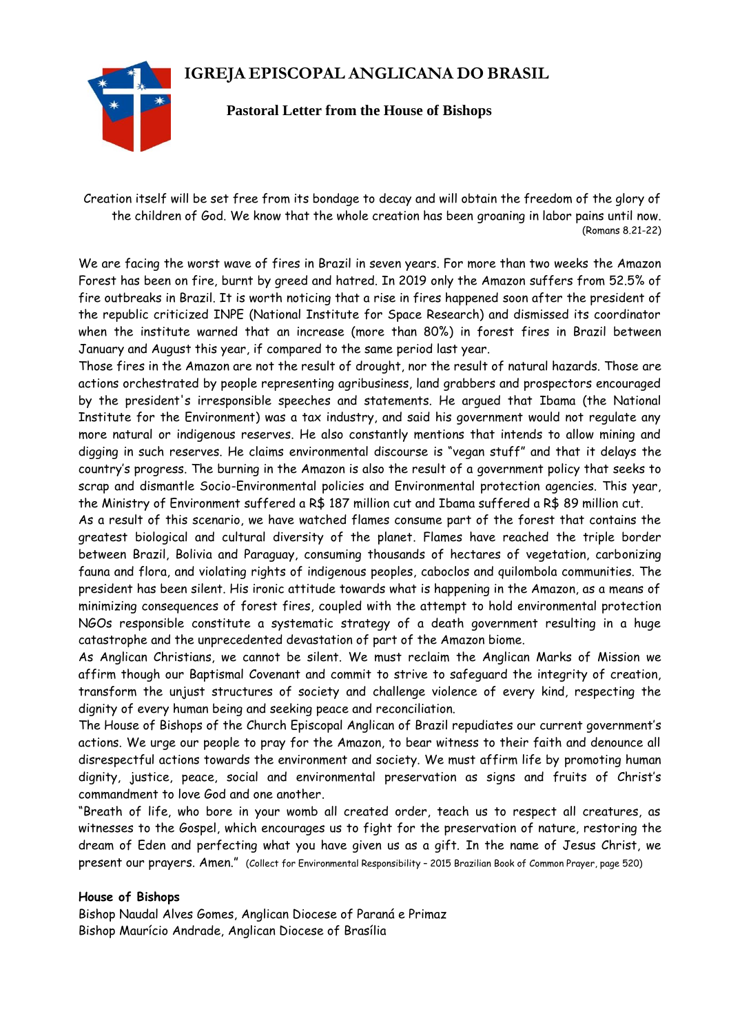## **IGREJA EPISCOPAL ANGLICANA DO BRASIL**



## **Pastoral Letter from the House of Bishops**

Creation itself will be set free from its bondage to decay and will obtain the freedom of the glory of the children of God. We know that the whole creation has been groaning in labor pains until now. (Romans 8.21-22)

We are facing the worst wave of fires in Brazil in seven years. For more than two weeks the Amazon Forest has been on fire, burnt by greed and hatred. In 2019 only the Amazon suffers from 52.5% of fire outbreaks in Brazil. It is worth noticing that a rise in fires happened soon after the president of the republic criticized INPE (National Institute for Space Research) and dismissed its coordinator when the institute warned that an increase (more than 80%) in forest fires in Brazil between January and August this year, if compared to the same period last year.

Those fires in the Amazon are not the result of drought, nor the result of natural hazards. Those are actions orchestrated by people representing agribusiness, land grabbers and prospectors encouraged by the president's irresponsible speeches and statements. He argued that Ibama (the National Institute for the Environment) was a tax industry, and said his government would not regulate any more natural or indigenous reserves. He also constantly mentions that intends to allow mining and digging in such reserves. He claims environmental discourse is "vegan stuff" and that it delays the country's progress. The burning in the Amazon is also the result of a government policy that seeks to scrap and dismantle Socio-Environmental policies and Environmental protection agencies. This year, the Ministry of Environment suffered a R\$ 187 million cut and Ibama suffered a R\$ 89 million cut.

As a result of this scenario, we have watched flames consume part of the forest that contains the greatest biological and cultural diversity of the planet. Flames have reached the triple border between Brazil, Bolivia and Paraguay, consuming thousands of hectares of vegetation, carbonizing fauna and flora, and violating rights of indigenous peoples, caboclos and quilombola communities. The president has been silent. His ironic attitude towards what is happening in the Amazon, as a means of minimizing consequences of forest fires, coupled with the attempt to hold environmental protection NGOs responsible constitute a systematic strategy of a death government resulting in a huge catastrophe and the unprecedented devastation of part of the Amazon biome.

As Anglican Christians, we cannot be silent. We must reclaim the Anglican Marks of Mission we affirm though our Baptismal Covenant and commit to strive to safeguard the integrity of creation, transform the unjust structures of society and challenge violence of every kind, respecting the dignity of every human being and seeking peace and reconciliation.

The House of Bishops of the Church Episcopal Anglican of Brazil repudiates our current government's actions. We urge our people to pray for the Amazon, to bear witness to their faith and denounce all disrespectful actions towards the environment and society. We must affirm life by promoting human dignity, justice, peace, social and environmental preservation as signs and fruits of Christ's commandment to love God and one another.

"Breath of life, who bore in your womb all created order, teach us to respect all creatures, as witnesses to the Gospel, which encourages us to fight for the preservation of nature, restoring the dream of Eden and perfecting what you have given us as a gift. In the name of Jesus Christ, we present our prayers. Amen." (Collect for Environmental Responsibility – 2015 Brazilian Book of Common Prayer, page 520)

## **House of Bishops**

Bishop Naudal Alves Gomes, Anglican Diocese of Paraná e Primaz Bishop Maurício Andrade, Anglican Diocese of Brasília